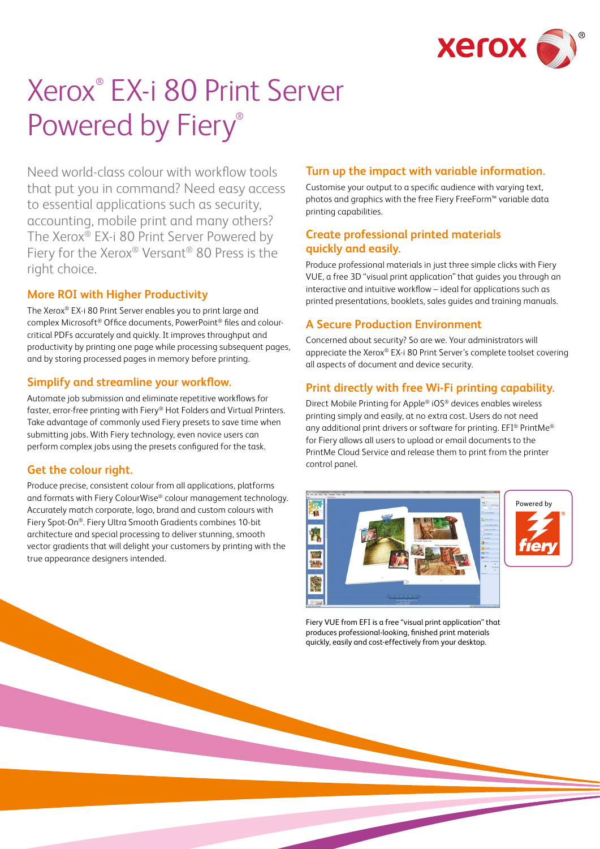

# Xerox® EX-i 80 Print Server Powered by Fiery®

Need world-class colour with workflow tools that put you in command? Need easy access to essential applications such as security, accounting, mobile print and many others? The Xerox® EX-i 80 Print Server Powered by Fiery for the Xerox® Versant® 80 Press is the right choice.

#### **More ROI with Higher Productivity**

The Xerox® EX-i 80 Print Server enables you to print large and complex Microsoft® Office documents, PowerPoint® files and colourcritical PDFs accurately and quickly. It improves throughput and productivity by printing one page while processing subsequent pages, and by storing processed pages in memory before printing.

#### **Simplify and streamline your workflow.**

Automate job submission and eliminate repetitive workflows for faster, error-free printing with Fiery® Hot Folders and Virtual Printers. Take advantage of commonly used Fiery presets to save time when submitting jobs. With Fiery technology, even novice users can perform complex jobs using the presets configured for the task.

#### **Get the colour right.**

Produce precise, consistent colour from all applications, platforms and formats with Fiery ColourWise® colour management technology. Accurately match corporate, logo, brand and custom colours with Fiery Spot-On®. Fiery Ultra Smooth Gradients combines 10-bit architecture and special processing to deliver stunning, smooth vector gradients that will delight your customers by printing with the true appearance designers intended.

## **Turn up the impact with variable information.**

Customise your output to a specific audience with varying text, photos and graphics with the free Fiery FreeForm™ variable data printing capabilities.

### **Create professional printed materials quickly and easily.**

Produce professional materials in just three simple clicks with Fiery VUE, a free 3D "visual print application" that guides you through an interactive and intuitive workflow – ideal for applications such as printed presentations, booklets, sales guides and training manuals.

## **A Secure Production Environment**

Concerned about security? So are we. Your administrators will appreciate the Xerox® EX-i 80 Print Server's complete toolset covering all aspects of document and device security.

#### **Print directly with free Wi-Fi printing capability.**

Direct Mobile Printing for Apple® iOS® devices enables wireless printing simply and easily, at no extra cost. Users do not need any additional print drivers or software for printing. EFI® PrintMe® for Fiery allows all users to upload or email documents to the PrintMe Cloud Service and release them to print from the printer control panel.





Fiery VUE from EFI is a free "visual print application" that produces professional-looking, finished print materials quickly, easily and cost-effectively from your desktop.